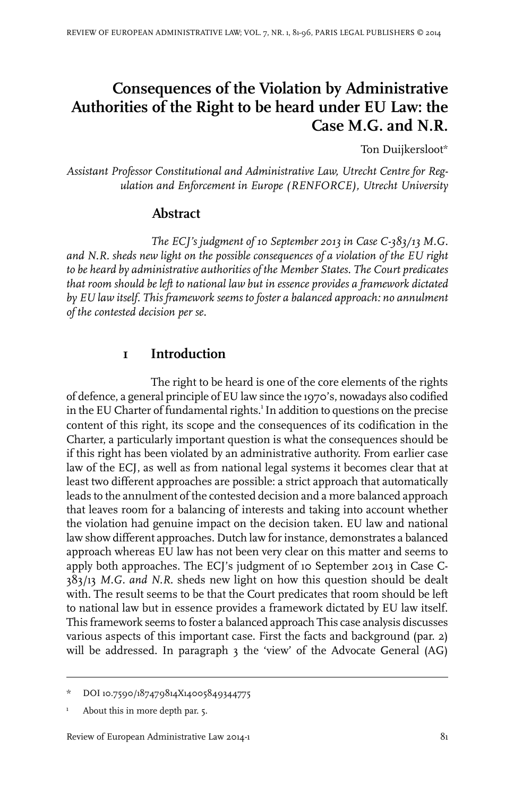# **Consequences of the Violation by Administrative Authorities of the Right to be heard under EU Law: the Case M.G. and N.R.**

Ton Duijkersloot\*

*Assistant Professor Constitutional and Administrative Law, Utrecht Centre for Regulation and Enforcement in Europe (RENFORCE), Utrecht University*

## **Abstract**

*The ECJ's judgment of 10 September 2013 in Case C-383/13 M.G. and N.R. sheds new light on the possible consequences of a violation of the EU right to be heard by administrative authorities of the Member States. The Court predicates that room should be left to national law but in essence provides a framework dictated by EU law itself. This framework seems to foster a balanced approach: no annulment of the contested decision per se.*

## **1 Introduction**

The right to be heard is one of the core elements of the rights of defence, a general principle of EU law since the 1970's, nowadays also codified in the EU Charter of fundamental rights.<sup>1</sup> In addition to questions on the precise content of this right, its scope and the consequences of its codification in the Charter, a particularly important question is what the consequences should be if this right has been violated by an administrative authority. From earlier case law of the ECJ, as well as from national legal systems it becomes clear that at least two different approaches are possible: a strict approach that automatically leads to the annulment of the contested decision and a more balanced approach that leaves room for a balancing of interests and taking into account whether the violation had genuine impact on the decision taken. EU law and national law show different approaches. Dutch law forinstance, demonstrates a balanced approach whereas EU law has not been very clear on this matter and seems to apply both approaches. The ECJ's judgment of 10 September 2013 in Case C-383/13 *M.G. and N.R*. sheds new light on how this question should be dealt with. The result seems to be that the Court predicates that room should be left to national law but in essence provides a framework dictated by EU law itself. This framework seems to foster a balanced approach This case analysis discusses various aspects of this important case. First the facts and background (par. 2) will be addressed. In paragraph 3 the 'view' of the Advocate General (AG)

<sup>\*</sup> DOI10.7590/187479814X14005849344775

 $1$  About this in more depth par. 5.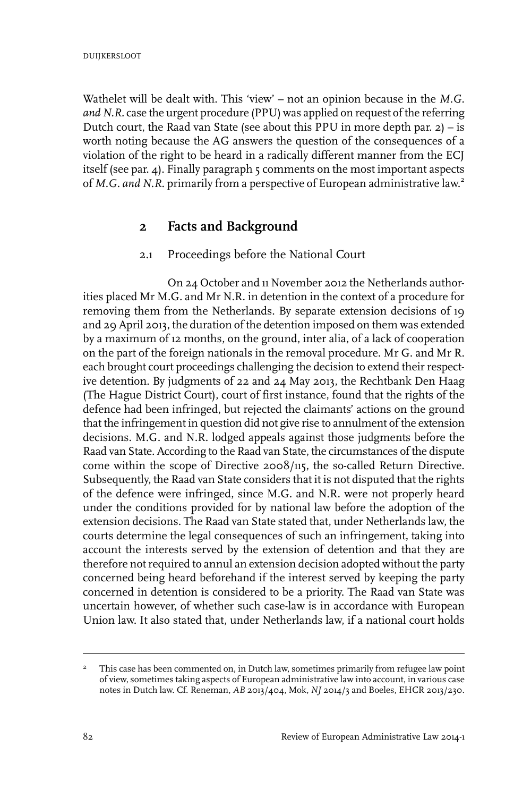Wathelet will be dealt with. This 'view' – not an opinion because in the *M.G. and N.R.* case the urgent procedure (PPU) was applied on request of the referring Dutch court, the Raad van State (see about this PPU in more depth par. 2) – is worth noting because the AG answers the question of the consequences of a violation of the right to be heard in a radically different manner from the ECJ itself (see par. 4). Finally paragraph 5 comments on the most important aspects of *M.G. and N.R*. primarily from a perspective of European administrative law. 2

## **2 Facts and Background**

#### 2.1 Proceedings before the National Court

On 24 October and 11 November 2012 the Netherlands authorities placed Mr M.G. and Mr N.R. in detention in the context of a procedure for removing them from the Netherlands. By separate extension decisions of 19 and 29 April 2013, the duration of the detention imposed on them was extended by a maximum of 12 months, on the ground, inter alia, of a lack of cooperation on the part of the foreign nationals in the removal procedure. Mr G. and Mr R. each brought court proceedings challenging the decision to extend their respective detention. By judgments of 22 and 24 May 2013, the Rechtbank Den Haag (The Hague District Court), court of first instance, found that the rights of the defence had been infringed, but rejected the claimants' actions on the ground that the infringement in question did not give rise to annulment of the extension decisions. M.G. and N.R. lodged appeals against those judgments before the Raad van State. According to the Raad van State, the circumstances of the dispute come within the scope of Directive 2008/115, the so-called Return Directive. Subsequently, the Raad van State considers that it is not disputed that the rights of the defence were infringed, since M.G. and N.R. were not properly heard under the conditions provided for by national law before the adoption of the extension decisions. The Raad van State stated that, under Netherlands law, the courts determine the legal consequences of such an infringement, taking into account the interests served by the extension of detention and that they are therefore not required to annul an extension decision adopted without the party concerned being heard beforehand if the interest served by keeping the party concerned in detention is considered to be a priority. The Raad van State was uncertain however, of whether such case-law is in accordance with European Union law. It also stated that, under Netherlands law, if a national court holds

This case has been commented on, in Dutch law, sometimes primarily from refugee law point of view, sometimes taking aspects of European administrative law into account, in various case notes in Dutch law. Cf. Reneman, *AB* 2013/404, Mok, *NJ* 2014/3 and Boeles, EHCR 2013/230. 2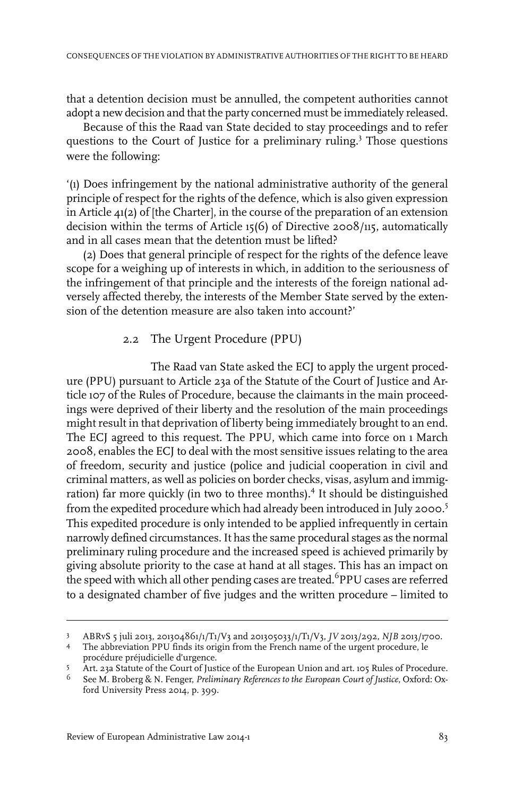that a detention decision must be annulled, the competent authorities cannot adopt a new decision and that the party concerned must be immediately released.

Because of this the Raad van State decided to stay proceedings and to refer questions to the Court of Justice for a preliminary ruling.<sup>3</sup> Those questions were the following:

'(1) Does infringement by the national administrative authority of the general principle of respect for the rights of the defence, which is also given expression in Article 41(2) of [the Charter], in the course of the preparation of an extension decision within the terms of Article 15(6) of Directive 2008/115, automatically and in all cases mean that the detention must be lifted?

(2) Does that general principle of respect for the rights of the defence leave scope for a weighing up of interests in which, in addition to the seriousness of the infringement of that principle and the interests of the foreign national adversely affected thereby, the interests of the Member State served by the extension of the detention measure are also taken into account?'

#### 2.2 The Urgent Procedure (PPU)

The Raad van State asked the ECJ to apply the urgent procedure (PPU) pursuant to Article 23a of the Statute of the Court of Justice and Article 107 of the Rules of Procedure, because the claimants in the main proceedings were deprived of their liberty and the resolution of the main proceedings might result in that deprivation of liberty being immediately brought to an end. The ECJ agreed to this request. The PPU, which came into force on 1 March 2008, enables the ECJ to deal with the most sensitive issues relating to the area of freedom, security and justice (police and judicial cooperation in civil and criminal matters, as well as policies on border checks, visas, asylum and immigration) far more quickly (in two to three months).<sup>4</sup> It should be distinguished from the expedited procedure which had already been introduced in July 2000.<sup>5</sup> This expedited procedure is only intended to be applied infrequently in certain narrowly defined circumstances.It has the same procedural stages as the normal preliminary ruling procedure and the increased speed is achieved primarily by giving absolute priority to the case at hand at all stages. This has an impact on the speed with which all other pending cases are treated.<sup>6</sup>PPU cases are referred to a designated chamber of five judges and the written procedure – limited to

ABRvS 5 juli 2013, 201304861/1/T1/V3 and 201305033/1/T1/V3, *JV* 2013/292, *NJB* 2013/1700. <sup>3</sup>

The abbreviation PPU finds its origin from the French name of the urgent procedure, le 4 procédure préjudicielle d'urgence.

Art. 23a Statute of the Court of Justice of the European Union and art. 105 Rules of Procedure. <sup>5</sup>

See M. Broberg & N. Fenger, *Preliminary References to the European Court of Justice*, Oxford: Ox-6 ford University Press 2014, p. 399.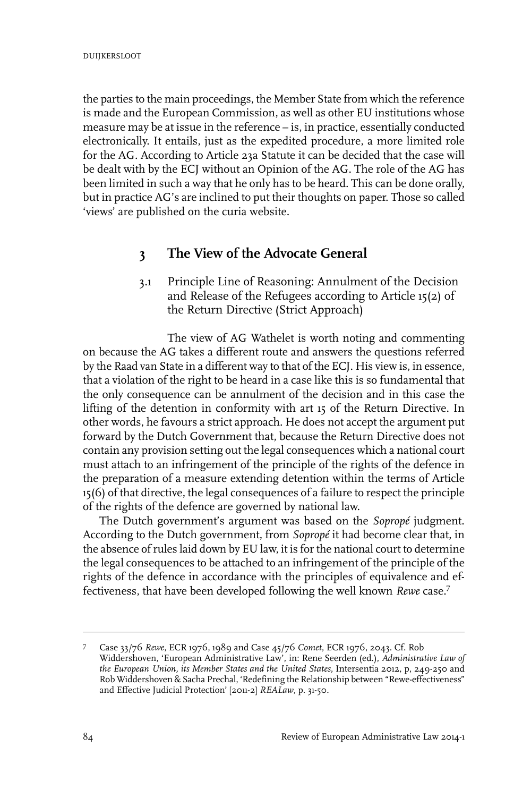the parties to the main proceedings, the Member State from which the reference is made and the European Commission, as well as other EU institutions whose measure may be at issue in the reference – is, in practice, essentially conducted electronically. It entails, just as the expedited procedure, a more limited role for the AG. According to Article 23a Statute it can be decided that the case will be dealt with by the ECJ without an Opinion of the AG. The role of the AG has been limited in such a way that he only has to be heard. This can be done orally, but in practice AG's are inclined to put their thoughts on paper. Those so called 'views' are published on the curia website.

## **3 The View of the Advocate General**

3.1 Principle Line of Reasoning: Annulment of the Decision and Release of the Refugees according to Article 15(2) of the Return Directive (Strict Approach)

The view of AG Wathelet is worth noting and commenting on because the AG takes a different route and answers the questions referred by the Raad van State in a different way to that of the ECJ. His view is, in essence, that a violation of the right to be heard in a case like this is so fundamental that the only consequence can be annulment of the decision and in this case the lifting of the detention in conformity with art 15 of the Return Directive. In other words, he favours a strict approach. He does not accept the argument put forward by the Dutch Government that, because the Return Directive does not contain any provision setting out the legal consequences which a national court must attach to an infringement of the principle of the rights of the defence in the preparation of a measure extending detention within the terms of Article 15(6) of that directive, the legal consequences of a failure to respect the principle of the rights of the defence are governed by national law.

The Dutch government's argument was based on the *Sopropé* judgment. According to the Dutch government, from *Sopropé* it had become clear that, in the absence of rules laid down by EU law, it is for the national court to determine the legal consequences to be attached to an infringement of the principle of the rights of the defence in accordance with the principles of equivalence and effectiveness, that have been developed following the well known *Rewe* case.<sup>7</sup>

Case 33/76 *Rewe*, ECR 1976, 1989 and Case 45/76 *Comet*, ECR 1976, 2043. Cf. Rob <sup>7</sup> Widdershoven, 'European Administrative Law', in: Rene Seerden (ed.), *Administrative Law of the European Union, its Member States and the United States*,Intersentia 2012, p, 249-250 and Rob Widdershoven & Sacha Prechal, 'Redefining the Relationship between "Rewe-effectiveness" and Effective Judicial Protection' [2011-2] *REALaw*, p. 31-50.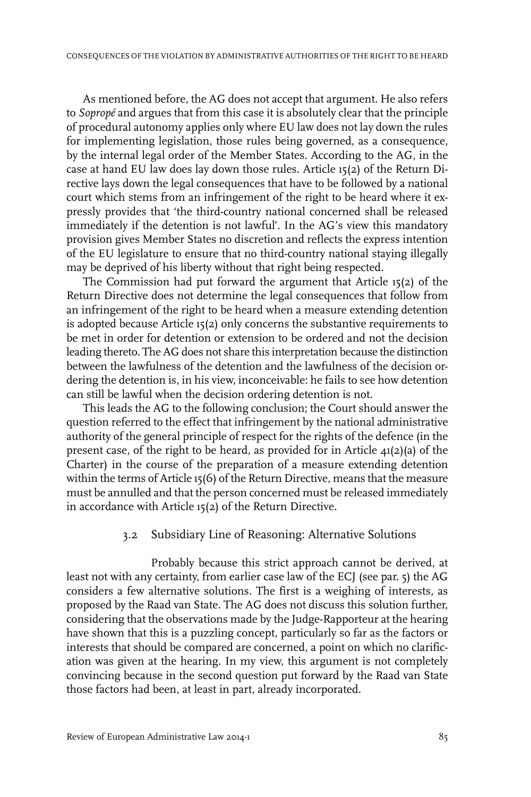As mentioned before, the AG does not accept that argument. He also refers to *Sopropé* and argues that from this case it is absolutely clear that the principle of procedural autonomy applies only where EU law does not lay down the rules for implementing legislation, those rules being governed, as a consequence, by the internal legal order of the Member States. According to the AG, in the case at hand EU law does lay down those rules. Article 15(2) of the Return Directive lays down the legal consequences that have to be followed by a national court which stems from an infringement of the right to be heard where it expressly provides that 'the third-country national concerned shall be released immediately if the detention is not lawful'. In the AG's view this mandatory provision gives Member States no discretion and reflects the express intention of the EU legislature to ensure that no third-country national staying illegally may be deprived of his liberty without that right being respected.

The Commission had put forward the argument that Article 15(2) of the Return Directive does not determine the legal consequences that follow from an infringement of the right to be heard when a measure extending detention is adopted because Article 15(2) only concerns the substantive requirements to be met in order for detention or extension to be ordered and not the decision leading thereto. The AG does not share this interpretation because the distinction between the lawfulness of the detention and the lawfulness of the decision ordering the detention is, in his view, inconceivable: he fails to see how detention can still be lawful when the decision ordering detention is not.

This leads the AG to the following conclusion; the Court should answer the question referred to the effect that infringement by the national administrative authority of the general principle of respect for the rights of the defence (in the present case, of the right to be heard, as provided for in Article 41(2)(a) of the Charter) in the course of the preparation of a measure extending detention within the terms of Article 15(6) of the Return Directive, means that the measure must be annulled and that the person concerned must be released immediately in accordance with Article 15(2) of the Return Directive.

#### 3.2 Subsidiary Line of Reasoning: Alternative Solutions

Probably because this strict approach cannot be derived, at least not with any certainty, from earlier case law of the ECJ (see par. 5) the AG considers a few alternative solutions. The first is a weighing of interests, as proposed by the Raad van State. The AG does not discuss this solution further, considering that the observations made by the Judge-Rapporteur at the hearing have shown that this is a puzzling concept, particularly so far as the factors or interests that should be compared are concerned, a point on which no clarification was given at the hearing. In my view, this argument is not completely convincing because in the second question put forward by the Raad van State those factors had been, at least in part, already incorporated.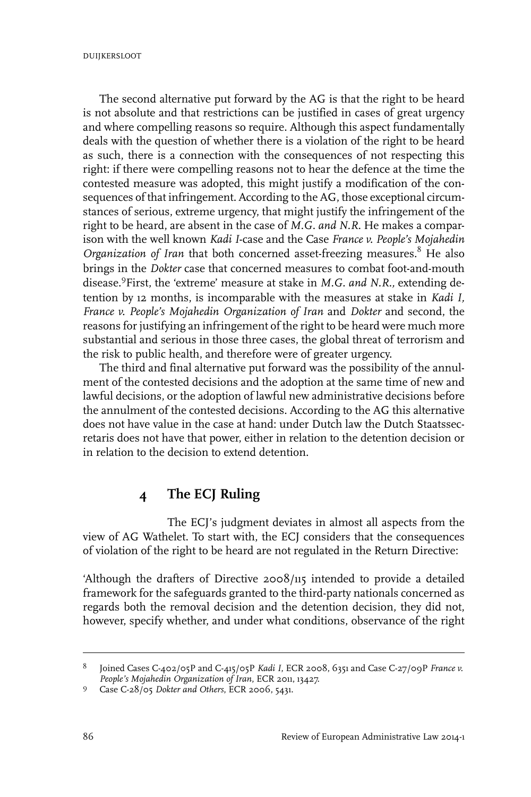The second alternative put forward by the AG is that the right to be heard is not absolute and that restrictions can be justified in cases of great urgency and where compelling reasons so require. Although this aspect fundamentally deals with the question of whether there is a violation of the right to be heard as such, there is a connection with the consequences of not respecting this right: if there were compelling reasons not to hear the defence at the time the contested measure was adopted, this might justify a modification of the consequences of that infringement. According to the AG, those exceptional circumstances of serious, extreme urgency, that might justify the infringement of the right to be heard, are absent in the case of *M.G. and N.R*. He makes a comparison with the well known *Kadi I*-case and the Case *France v. People's Mojahedin Organization of Iran* that both concerned asset-freezing measures.<sup>8</sup> He also brings in the *Dokter* case that concerned measures to combat foot-and-mouth disease.<sup>9</sup> First, the 'extreme' measure at stake in *M.G. and N.R.,* extending detention by 12 months, is incomparable with the measures at stake in *Kadi I, France v. People's Mojahedin Organization of Iran* and *Dokter* and second, the reasons for justifying an infringement of the right to be heard were much more substantial and serious in those three cases, the global threat of terrorism and the risk to public health, and therefore were of greater urgency.

The third and final alternative put forward was the possibility of the annulment of the contested decisions and the adoption at the same time of new and lawful decisions, or the adoption of lawful new administrative decisions before the annulment of the contested decisions. According to the AG this alternative does not have value in the case at hand: under Dutch law the Dutch Staatssecretaris does not have that power, either in relation to the detention decision or in relation to the decision to extend detention.

## **4 The ECJ Ruling**

The ECJ's judgment deviates in almost all aspects from the view of AG Wathelet. To start with, the ECJ considers that the consequences of violation of the right to be heard are not regulated in the Return Directive:

'Although the drafters of Directive 2008/115 intended to provide a detailed framework for the safeguards granted to the third-party nationals concerned as regards both the removal decision and the detention decision, they did not, however, specify whether, and under what conditions, observance of the right

Joined Cases C-402/05P and C-415/05P *Kadi I*, ECR 2008, 6351 and Case C-27/09P *France v. People's Mojahedin Organization of Iran*, ECR 2011, 13427. 8

Case C-28/05 *Dokter and Others*, ECR 2006, 5431. <sup>9</sup>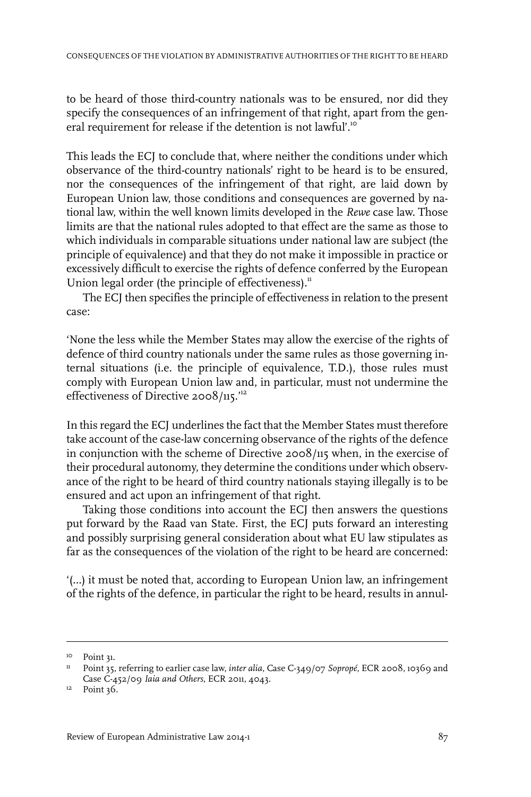to be heard of those third-country nationals was to be ensured, nor did they specify the consequences of an infringement of that right, apart from the general requirement for release if the detention is not lawful'.<sup>10</sup>

This leads the ECJ to conclude that, where neither the conditions under which observance of the third-country nationals' right to be heard is to be ensured, nor the consequences of the infringement of that right, are laid down by European Union law, those conditions and consequences are governed by national law, within the well known limits developed in the *Rewe* case law. Those limits are that the national rules adopted to that effect are the same as those to which individuals in comparable situations under national law are subject (the principle of equivalence) and that they do not make it impossible in practice or excessively difficult to exercise the rights of defence conferred by the European Union legal order (the principle of effectiveness). $<sup>n</sup>$ </sup>

The ECJ then specifies the principle of effectiveness in relation to the present case:

'None the less while the Member States may allow the exercise of the rights of defence of third country nationals under the same rules as those governing internal situations (i.e. the principle of equivalence, T.D.), those rules must comply with European Union law and, in particular, must not undermine the effectiveness of Directive 2008/115.'<sup>12</sup>

In this regard the ECJ underlines the fact that the Member States must therefore take account of the case-law concerning observance of the rights of the defence in conjunction with the scheme of Directive 2008/115 when, in the exercise of their procedural autonomy, they determine the conditions under which observance of the right to be heard of third country nationals staying illegally is to be ensured and act upon an infringement of that right.

Taking those conditions into account the ECJ then answers the questions put forward by the Raad van State. First, the ECJ puts forward an interesting and possibly surprising general consideration about what EU law stipulates as far as the consequences of the violation of the right to be heard are concerned:

'(...) it must be noted that, according to European Union law, an infringement of the rights of the defence, in particular the right to be heard, results in annul-

<sup>&</sup>lt;sup>10</sup> Point 31.

<sup>&</sup>lt;sup>11</sup> Point 35, referring to earlier case law, *inter alia*, Case C-349/07 *Sopropé*, ECR 2008, 10369 and Case C-452/09 *Iaia and Others*, ECR 2011, 4043.

<sup>&</sup>lt;sup>12</sup> Point 36.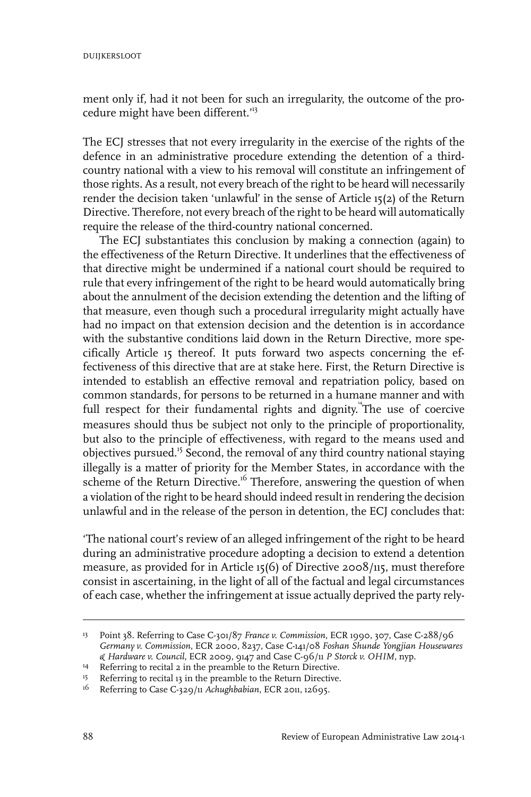ment only if, had it not been for such an irregularity, the outcome of the procedure might have been different.'<sup>13</sup>

The ECJ stresses that not every irregularity in the exercise of the rights of the defence in an administrative procedure extending the detention of a thirdcountry national with a view to his removal will constitute an infringement of those rights. As a result, not every breach of the right to be heard will necessarily render the decision taken 'unlawful' in the sense of Article 15(2) of the Return Directive. Therefore, not every breach of the right to be heard will automatically require the release of the third-country national concerned.

The ECJ substantiates this conclusion by making a connection (again) to the effectiveness of the Return Directive. It underlines that the effectiveness of that directive might be undermined if a national court should be required to rule that every infringement of the right to be heard would automatically bring about the annulment of the decision extending the detention and the lifting of that measure, even though such a procedural irregularity might actually have had no impact on that extension decision and the detention is in accordance with the substantive conditions laid down in the Return Directive, more specifically Article 15 thereof. It puts forward two aspects concerning the effectiveness of this directive that are at stake here. First, the Return Directive is intended to establish an effective removal and repatriation policy, based on common standards, for persons to be returned in a humane manner and with full respect for their fundamental rights and dignity. The use of coercive measures should thus be subject not only to the principle of proportionality, but also to the principle of effectiveness, with regard to the means used and objectives pursued.<sup>15</sup> Second, the removal of any third country national staying illegally is a matter of priority for the Member States, in accordance with the scheme of the Return Directive.<sup>16</sup> Therefore, answering the question of when a violation of the right to be heard should indeed result in rendering the decision unlawful and in the release of the person in detention, the ECJ concludes that:

'The national court's review of an alleged infringement of the right to be heard during an administrative procedure adopting a decision to extend a detention measure, as provided for in Article 15(6) of Directive 2008/115, must therefore consist in ascertaining, in the light of all of the factual and legal circumstances of each case, whether the infringement at issue actually deprived the party rely-

Point 38. Referring to Case C-301/87 *France v. Commission*, ECR 1990, 307, Case C-288/96 13 *Germany v. Commission*, ECR 2000, 8237, Case C-141/08 *Foshan Shunde Yongjian Housewares & Hardware v. Council*, ECR 2009, 9147 and Case C-96/11 *P Storck v. OHIM*, nyp.

<sup>&</sup>lt;sup>14</sup> Referring to recital 2 in the preamble to the Return Directive.

<sup>&</sup>lt;sup>15</sup> Referring to recital 13 in the preamble to the Return Directive.

<sup>&</sup>lt;sup>16</sup> Referring to Case C-329/11 *Achughbabian*, ECR 2011, 12695.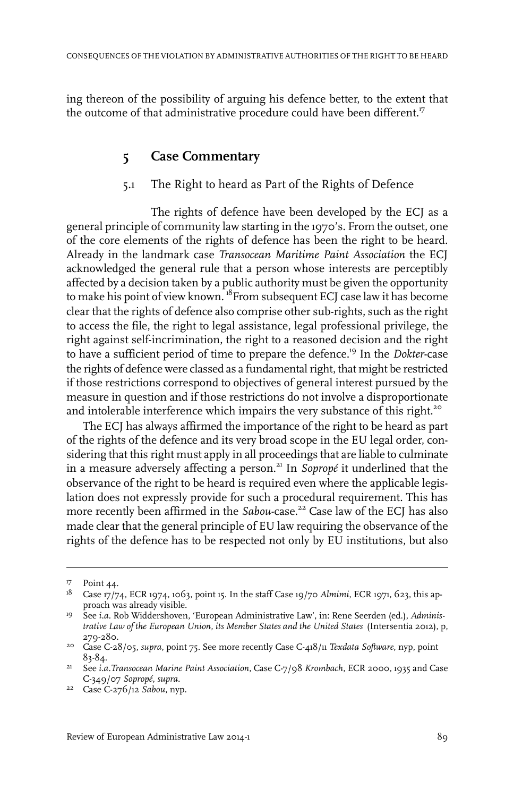ing thereon of the possibility of arguing his defence better, to the extent that the outcome of that administrative procedure could have been different.<sup>17</sup>

### **5 Case Commentary**

#### 5.1 The Right to heard as Part of the Rights of Defence

The rights of defence have been developed by the ECJ as a general principle of community law starting in the 1970's. From the outset, one of the core elements of the rights of defence has been the right to be heard. Already in the landmark case *Transocean Maritime Paint Association* the ECJ acknowledged the general rule that a person whose interests are perceptibly affected by a decision taken by a public authority must be given the opportunity to make his point of view known.<sup>18</sup>From subsequent ECJ case law it has become clear that the rights of defence also comprise other sub-rights, such as the right to access the file, the right to legal assistance, legal professional privilege, the right against self-incrimination, the right to a reasoned decision and the right to have a sufficient period of time to prepare the defence.<sup>19</sup> In the *Dokter*-case the rights of defence were classed as a fundamental right, that might be restricted if those restrictions correspond to objectives of general interest pursued by the measure in question and if those restrictions do not involve a disproportionate and intolerable interference which impairs the very substance of this right.<sup>20</sup>

The ECJ has always affirmed the importance of the right to be heard as part of the rights of the defence and its very broad scope in the EU legal order, considering that this right must apply in all proceedings that are liable to culminate in a measure adversely affecting a person.<sup>21</sup> In *Sopropé* it underlined that the observance of the right to be heard is required even where the applicable legislation does not expressly provide for such a procedural requirement. This has more recently been affirmed in the *Sabou*-case.<sup>22</sup> Case law of the ECJ has also made clear that the general principle of EU law requiring the observance of the rights of the defence has to be respected not only by EU institutions, but also

<sup>&</sup>lt;sup>17</sup> Point 44.

<sup>&</sup>lt;sup>18</sup> Case 17/74, ECR 1974, 1063, point 15. In the staff Case 19/70 *Almimi*, ECR 1971, 623, this approach was already visible.

<sup>&</sup>lt;sup>19</sup> See *i.a.* Rob Widdershoven, 'European Administrative Law', in: Rene Seerden (ed.), Adminis*trative Law of the European Union, its Member States and the United States* (Intersentia 2012), p, 279-280.

Case C-28/05, *supra*, point 75. See more recently Case C-418/11 *Texdata Software*, nyp, point 20 83-84.

See *i.a.Transocean Marine Paint Association*, Case C-7/98 *Krombach*, ECR 2000, 1935 and Case 21 C-349/07 *Sopropé*, *supra*.

<sup>&</sup>lt;sup>22</sup> Case C-276/12 Sabou, nyp.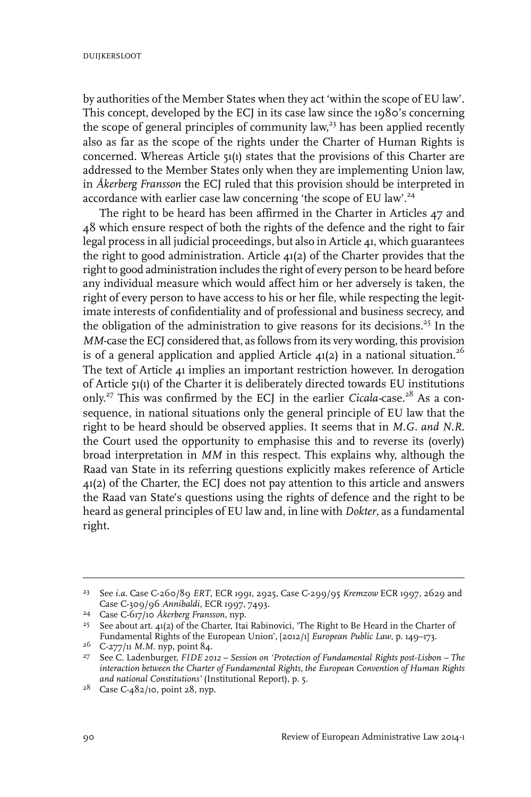by authorities of the Member States when they act 'within the scope of EU law'. This concept, developed by the ECJ in its case law since the 1980's concerning the scope of general principles of community law,<sup>23</sup> has been applied recently also as far as the scope of the rights under the Charter of Human Rights is concerned. Whereas Article 51(1) states that the provisions of this Charter are addressed to the Member States only when they are implementing Union law, in *Åkerberg Fransson* the ECJ ruled that this provision should be interpreted in accordance with earlier case law concerning 'the scope of EU law'.<sup>24</sup>

The right to be heard has been affirmed in the Charter in Articles 47 and  $\Delta$ 8 which ensure respect of both the rights of the defence and the right to fair legal process in all judicial proceedings, but also in Article  $\Delta$ 1, which guarantees the right to good administration. Article 41(2) of the Charter provides that the right to good administration includes the right of every person to be heard before any individual measure which would affect him or her adversely is taken, the right of every person to have access to his or her file, while respecting the legitimate interests of confidentiality and of professional and business secrecy, and the obligation of the administration to give reasons for its decisions.<sup>25</sup> In the *MM*-case the ECJ considered that, as follows from its very wording, this provision is of a general application and applied Article  $4(2)$  in a national situation.<sup>26</sup> The text of Article 41 implies an important restriction however. In derogation of Article 51(1) of the Charter it is deliberately directed towards EU institutions only.<sup>27</sup> This was confirmed by the ECJ in the earlier *Cicala-case*.<sup>28</sup> As a consequence, in national situations only the general principle of EU law that the right to be heard should be observed applies. It seems that in *M.G. and N.R.* the Court used the opportunity to emphasise this and to reverse its (overly) broad interpretation in *MM* in this respect. This explains why, although the Raad van State in its referring questions explicitly makes reference of Article 41(2) of the Charter, the ECJ does not pay attention to this article and answers the Raad van State's questions using the rights of defence and the right to be heard as general principles of EU law and, in line with *Dokter*, as a fundamental right.

See *i.a.* Case C-260/89 *ERT*, ECR 1991, 2925, Case C-299/95 *Kremzow* ECR 1997, 2629 and 23 Case C-309/96 *Annibaldi*, ECR 1997, 7493.

Case C-617/10 *Åkerberg Fransson*, nyp. <sup>24</sup>

<sup>&</sup>lt;sup>25</sup> See about art.  $41(2)$  of the Charter, Itai Rabinovici, 'The Right to Be Heard in the Charter of Fundamental Rights of the European Union', [2012/1] *European Public Law*, p. 149–173.

<sup>&</sup>lt;sup>26</sup> C-277/11 *M.M.* nyp, point 84.

See C. Ladenburger, *FIDE 2012 – Session on 'Protection of Fundamental Rights post-Lisbon – The* 27 *interaction between the Charter of Fundamental Rights, the European Convention of Human Rights and national Constitutions'* (Institutional Report), p. 5.

<sup>&</sup>lt;sup>28</sup> Case C-482/10, point 28, nyp.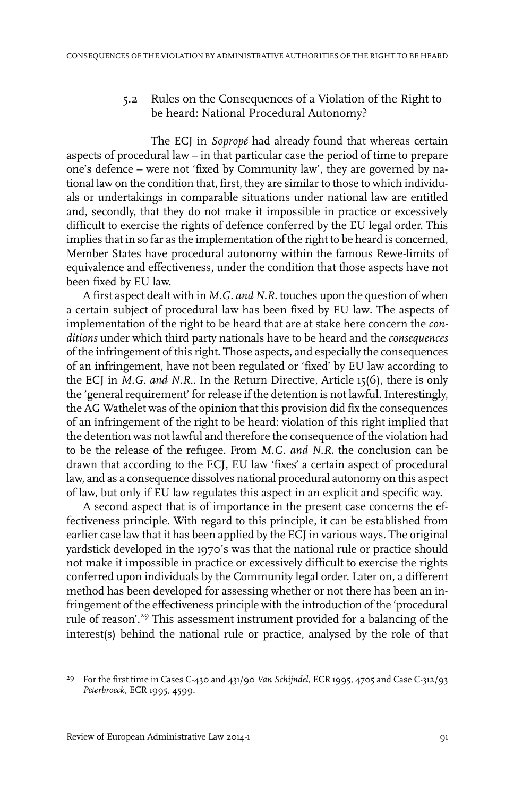#### 5.2 Rules on the Consequences of a Violation of the Right to be heard: National Procedural Autonomy?

The ECJ in *Sopropé* had already found that whereas certain aspects of procedural law – in that particular case the period of time to prepare one's defence – were not 'fixed by Community law', they are governed by national law on the condition that, first, they are similar to those to which individuals or undertakings in comparable situations under national law are entitled and, secondly, that they do not make it impossible in practice or excessively difficult to exercise the rights of defence conferred by the EU legal order. This implies that in so far as the implementation of the right to be heard is concerned, Member States have procedural autonomy within the famous Rewe-limits of equivalence and effectiveness, under the condition that those aspects have not been fixed by EU law.

A first aspect dealt with in *M.G. and N.R.* touches upon the question of when a certain subject of procedural law has been fixed by EU law*.* The aspects of implementation of the right to be heard that are at stake here concern the *conditions* under which third party nationals have to be heard and the *consequences* of the infringement of this right. Those aspects, and especially the consequences of an infringement, have not been regulated or 'fixed' by EU law according to the ECJ in *M.G. and N.R.*. In the Return Directive, Article 15(6), there is only the 'general requirement' for release if the detention is not lawful. Interestingly, the AG Wathelet was of the opinion that this provision did fix the consequences of an infringement of the right to be heard: violation of this right implied that the detention was not lawful and therefore the consequence of the violation had to be the release of the refugee. From *M.G. and N.R.* the conclusion can be drawn that according to the ECJ, EU law 'fixes' a certain aspect of procedural law, and as a consequence dissolves national procedural autonomy on this aspect of law, but only if EU law regulates this aspect in an explicit and specific way.

A second aspect that is of importance in the present case concerns the effectiveness principle. With regard to this principle, it can be established from earlier case law that it has been applied by the ECJ in various ways. The original yardstick developed in the 1970's was that the national rule or practice should not make it impossible in practice or excessively difficult to exercise the rights conferred upon individuals by the Community legal order. Later on, a different method has been developed for assessing whether or not there has been an infringement of the effectiveness principle with the introduction of the 'procedural rule of reason'.<sup>29</sup> This assessment instrument provided for a balancing of the interest(s) behind the national rule or practice, analysed by the role of that

For the first time in Cases C-430 and 431/90 *Van Schijndel*, ECR 1995, 4705 and Case C-312/93 29 *Peterbroeck*, ECR 1995, 4599.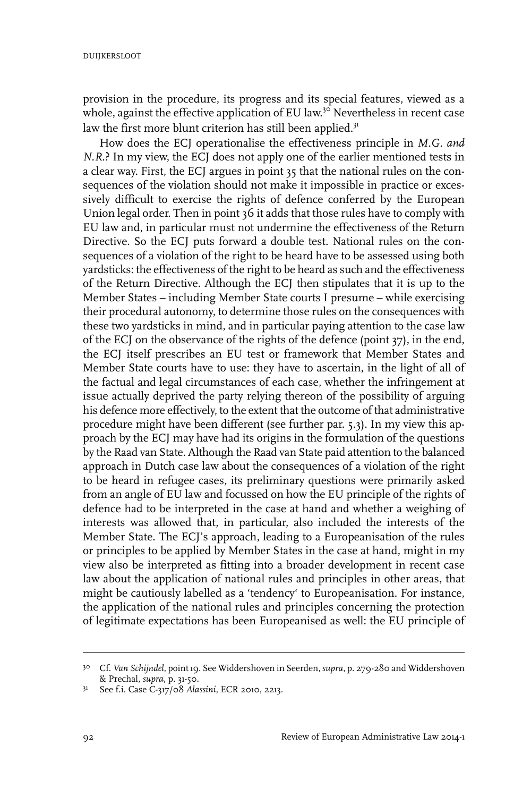provision in the procedure, its progress and its special features, viewed as a whole, against the effective application of EU law.<sup>30</sup> Nevertheless in recent case law the first more blunt criterion has still been applied.<sup>31</sup>

How does the ECJ operationalise the effectiveness principle in *M.G. and N.R*.? In my view, the ECJ does not apply one of the earlier mentioned tests in a clear way. First, the ECJ argues in point 35 that the national rules on the consequences of the violation should not make it impossible in practice or excessively difficult to exercise the rights of defence conferred by the European Union legal order. Then in point 36 it adds that those rules have to comply with EU law and, in particular must not undermine the effectiveness of the Return Directive. So the ECJ puts forward a double test. National rules on the consequences of a violation of the right to be heard have to be assessed using both yardsticks: the effectiveness of the right to be heard as such and the effectiveness of the Return Directive. Although the ECJ then stipulates that it is up to the Member States – including Member State courts I presume – while exercising their procedural autonomy, to determine those rules on the consequences with these two yardsticks in mind, and in particular paying attention to the case law of the ECJ on the observance of the rights of the defence (point 37), in the end, the ECJ itself prescribes an EU test or framework that Member States and Member State courts have to use: they have to ascertain, in the light of all of the factual and legal circumstances of each case, whether the infringement at issue actually deprived the party relying thereon of the possibility of arguing his defence more effectively, to the extent that the outcome of that administrative procedure might have been different (see further par. 5.3). In my view this approach by the ECJ may have had its origins in the formulation of the questions by the Raad van State. Although the Raad van State paid attention to the balanced approach in Dutch case law about the consequences of a violation of the right to be heard in refugee cases, its preliminary questions were primarily asked from an angle of EU law and focussed on how the EU principle of the rights of defence had to be interpreted in the case at hand and whether a weighing of interests was allowed that, in particular, also included the interests of the Member State. The ECJ's approach, leading to a Europeanisation of the rules or principles to be applied by Member States in the case at hand, might in my view also be interpreted as fitting into a broader development in recent case law about the application of national rules and principles in other areas, that might be cautiously labelled as a 'tendency' to Europeanisation. For instance, the application of the national rules and principles concerning the protection of legitimate expectations has been Europeanised as well: the EU principle of

Cf. *Van Schijndel*, point 19. See Widdershoven in Seerden, *supra*, p. 279-280 and Widdershoven 30 & Prechal, *supra*, p. 31-50.

<sup>&</sup>lt;sup>31</sup> See f.i. Case C-317/08 *Alassini*, ECR 2010, 2213.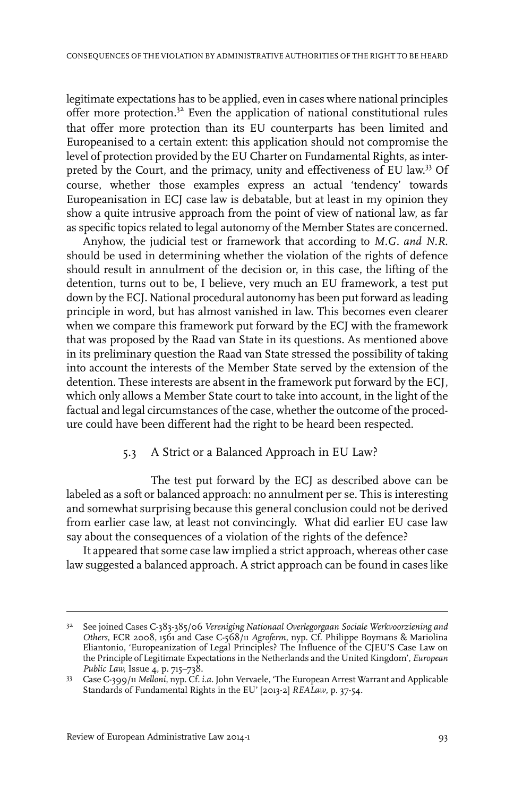legitimate expectations has to be applied, even in cases where national principles offer more protection.<sup>32</sup> Even the application of national constitutional rules that offer more protection than its EU counterparts has been limited and Europeanised to a certain extent: this application should not compromise the level of protection provided by the EU Charter on Fundamental Rights, as interpreted by the Court, and the primacy, unity and effectiveness of EU law.<sup>33</sup> Of course, whether those examples express an actual 'tendency' towards Europeanisation in ECJ case law is debatable, but at least in my opinion they show a quite intrusive approach from the point of view of national law, as far as specific topics related to legal autonomy of the Member States are concerned.

Anyhow, the judicial test or framework that according to *M.G. and N.R.* should be used in determining whether the violation of the rights of defence should result in annulment of the decision or, in this case, the lifting of the detention, turns out to be, I believe, very much an EU framework, a test put down by the ECJ. National procedural autonomy has been put forward as leading principle in word, but has almost vanished in law. This becomes even clearer when we compare this framework put forward by the ECJ with the framework that was proposed by the Raad van State in its questions. As mentioned above in its preliminary question the Raad van State stressed the possibility of taking into account the interests of the Member State served by the extension of the detention. These interests are absent in the framework put forward by the ECJ, which only allows a Member State court to take into account, in the light of the factual and legal circumstances of the case, whether the outcome of the procedure could have been different had the right to be heard been respected.

#### 5.3 A Strict or a Balanced Approach in EU Law?

The test put forward by the ECJ as described above can be labeled as a soft or balanced approach: no annulment per se. This is interesting and somewhat surprising because this general conclusion could not be derived from earlier case law, at least not convincingly. What did earlier EU case law say about the consequences of a violation of the rights of the defence?

It appeared that some case law implied a strict approach, whereas other case law suggested a balanced approach. A strict approach can be found in cases like

See joined Cases C-383-385/06 *Vereniging Nationaal Overlegorgaan Sociale Werkvoorziening and* 32 *Others*, ECR 2008, 1561 and Case C-568/11 *Agroferm*, nyp. Cf. Philippe Boymans & Mariolina Eliantonio, 'Europeanization of Legal Principles? The Influence of the CJEU'S Case Law on the Principle of Legitimate Expectations in the Netherlands and the United Kingdom', *European Public Law,*Issue 4, p. 715–738.

Case C-399/11 *Melloni*, nyp. Cf. *i.a.* John Vervaele, 'The European Arrest Warrant and Applicable 33 Standards of Fundamental Rights in the EU' [2013-2] *REALaw*, p. 37-54.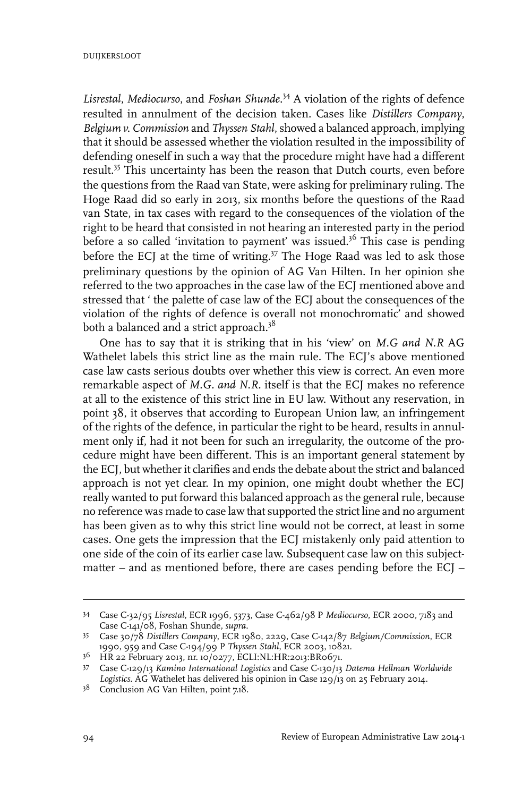*Lisrestal*, *Mediocurso*, and *Foshan Shunde*. <sup>34</sup> A violation of the rights of defence resulted in annulment of the decision taken. Cases like *Distillers Company*, *Belgium v. Commission* and *Thyssen Stahl*, showed a balanced approach, implying that it should be assessed whether the violation resulted in the impossibility of defending oneself in such a way that the procedure might have had a different result.<sup>35</sup> This uncertainty has been the reason that Dutch courts, even before the questions from the Raad van State, were asking for preliminary ruling. The Hoge Raad did so early in 2013, six months before the questions of the Raad van State, in tax cases with regard to the consequences of the violation of the right to be heard that consisted in not hearing an interested party in the period before a so called 'invitation to payment' was issued.<sup>36</sup> This case is pending before the ECJ at the time of writing.<sup>37</sup> The Hoge Raad was led to ask those preliminary questions by the opinion of AG Van Hilten. In her opinion she referred to the two approaches in the case law of the ECJ mentioned above and stressed that ' the palette of case law of the ECJ about the consequences of the violation of the rights of defence is overall not monochromatic' and showed both a balanced and a strict approach.<sup>38</sup>

One has to say that it is striking that in his 'view' on *M.G and N.R* AG Wathelet labels this strict line as the main rule. The ECJ's above mentioned case law casts serious doubts over whether this view is correct. An even more remarkable aspect of *M.G. and N.R*. itself is that the ECJ makes no reference at all to the existence of this strict line in EU law. Without any reservation, in point 38, it observes that according to European Union law, an infringement of the rights of the defence, in particular the right to be heard, results in annulment only if, had it not been for such an irregularity, the outcome of the procedure might have been different. This is an important general statement by the ECJ, but whether it clarifies and ends the debate about the strict and balanced approach is not yet clear. In my opinion, one might doubt whether the ECJ really wanted to put forward this balanced approach as the general rule, because no reference was made to case law that supported the strict line and no argument has been given as to why this strict line would not be correct, at least in some cases. One gets the impression that the ECJ mistakenly only paid attention to one side of the coin of its earlier case law. Subsequent case law on this subjectmatter – and as mentioned before, there are cases pending before the ECJ –

Case C-32/95 *Lisrestal*, ECR 1996, 5373, Case C-462/98 P *Mediocurso*, ECR 2000, 7183 and 34 Case C-141/08, Foshan Shunde, *supra*.

Case 30/78 *Distillers Company*, ECR 1980, 2229, Case C-142/87 *Belgium/Commission*, ECR 35 1990, 959 and Case C-194/99 P *Thyssen Stahl*, ECR 2003, 10821.

HR 22 February 2013, nr. 10/0277, ECLI:NL:HR:2013:BR0671. <sup>36</sup>

Case C-129/13 *Kamino International Logistics* and Case C-130/13 *Datema Hellman Worldwide* 37 *Logistics*. AG Wathelet has delivered his opinion in Case 129/13 on 25 February 2014.

<sup>&</sup>lt;sup>38</sup> Conclusion AG Van Hilten, point 7.18.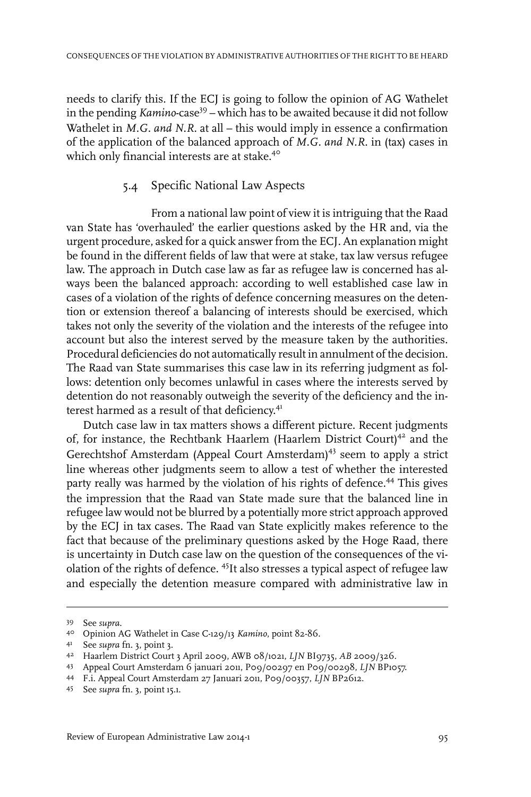needs to clarify this. If the ECJ is going to follow the opinion of AG Wathelet in the pending *Kamino-*case<sup>39</sup> – which has to be awaited because it did not follow Wathelet in *M.G. and N.R.* at all – this would imply in essence a confirmation of the application of the balanced approach of *M.G. and N.R.* in (tax) cases in which only financial interests are at stake.<sup>40</sup>

#### 5.4 Specific National Law Aspects

From a national law point of view it is intriguing that the Raad van State has 'overhauled' the earlier questions asked by the HR and, via the urgent procedure, asked for a quick answerfrom the ECJ. An explanation might be found in the different fields of law that were at stake, tax law versus refugee law. The approach in Dutch case law as far as refugee law is concerned has always been the balanced approach: according to well established case law in cases of a violation of the rights of defence concerning measures on the detention or extension thereof a balancing of interests should be exercised, which takes not only the severity of the violation and the interests of the refugee into account but also the interest served by the measure taken by the authorities. Procedural deficiencies do not automatically result in annulment of the decision. The Raad van State summarises this case law in its referring judgment as follows: detention only becomes unlawful in cases where the interests served by detention do not reasonably outweigh the severity of the deficiency and the interest harmed as a result of that deficiency.<sup>41</sup>

Dutch case law in tax matters shows a different picture. Recent judgments of, for instance, the Rechtbank Haarlem (Haarlem District Court)<sup>42</sup> and the Gerechtshof Amsterdam (Appeal Court Amsterdam)<sup>43</sup> seem to apply a strict line whereas other judgments seem to allow a test of whether the interested party really was harmed by the violation of his rights of defence.<sup>44</sup> This gives the impression that the Raad van State made sure that the balanced line in refugee law would not be blurred by a potentially more strict approach approved by the ECJ in tax cases. The Raad van State explicitly makes reference to the fact that because of the preliminary questions asked by the Hoge Raad, there is uncertainty in Dutch case law on the question of the consequences of the violation of the rights of defence. <sup>45</sup>It also stresses a typical aspect of refugee law and especially the detention measure compared with administrative law in

<sup>39</sup> See *supra*.

Opinion AG Wathelet in Case C-129/13 *Kamino*, point 82-86. <sup>40</sup>

See *supra* fn. 3, point 3. <sup>41</sup>

Haarlem District Court 3 April 2009, AWB 08/1021, *LJN* BI9735, *AB* 2009/326. <sup>42</sup>

Appeal Court Amsterdam 6 januari 2011, P09/00297 en P09/00298, *LJN* BP1057. 43

F.i. Appeal Court Amsterdam 27 Januari 2011, P09/00357, *LJN* BP2612. <sup>44</sup>

See *supra* fn. 3, point 15.1. <sup>45</sup>